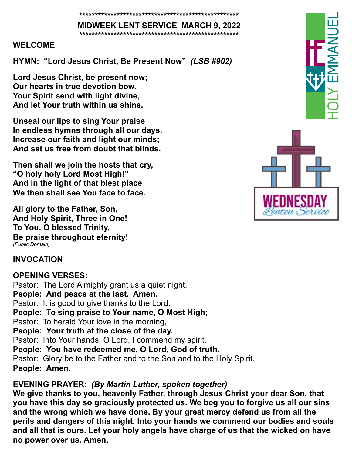**\*\*\*\*\*\*\*\*\*\*\*\*\*\*\*\*\*\*\*\*\*\*\*\*\*\*\*\*\*\*\*\*\*\*\*\*\*\*\*\*\*\*\*\*\*\*\*\*\*\*\***

**MIDWEEK LENT SERVICE MARCH 9, 2022 \*\*\*\*\*\*\*\*\*\*\*\*\*\*\*\*\*\*\*\*\*\*\*\*\*\*\*\*\*\*\*\*\*\*\*\*\*\*\*\*\*\*\*\*\*\*\*\*\*\*\***

#### **WELCOME**

**HYMN: "Lord Jesus Christ, Be Present Now"** *(LSB #902)*

**Lord Jesus Christ, be present now; Our hearts in true devotion bow. Your Spirit send with light divine, And let Your truth within us shine.**

**Unseal our lips to sing Your praise In endless hymns through all our days. Increase our faith and light our minds; And set us free from doubt that blinds.**

**Then shall we join the hosts that cry, "O holy holy Lord Most High!" And in the light of that blest place We then shall see You face to face.**

**All glory to the Father, Son, And Holy Spirit, Three in One! To You, O blessed Trinity, Be praise throughout eternity!** *(Public Domain)*

## **INVOCATION**

**OPENING VERSES:** Pastor: The Lord Almighty grant us a quiet night, **People: And peace at the last. Amen.** Pastor: It is good to give thanks to the Lord, **People: To sing praise to Your name, O Most High;** Pastor: To herald Your love in the morning, **People: Your truth at the close of the day.**  Pastor: Into Your hands, O Lord, I commend my spirit. **People: You have redeemed me, O Lord, God of truth.**  Pastor: Glory be to the Father and to the Son and to the Holy Spirit. **People: Amen.** 

## **EVENING PRAYER:** *(By Martin Luther, spoken together)*

**We give thanks to you, heavenly Father, through Jesus Christ your dear Son, that you have this day so graciously protected us. We beg you to forgive us all our sins and the wrong which we have done. By your great mercy defend us from all the perils and dangers of this night. Into your hands we commend our bodies and souls and all that is ours. Let your holy angels have charge of us that the wicked on have no power over us. Amen.** 

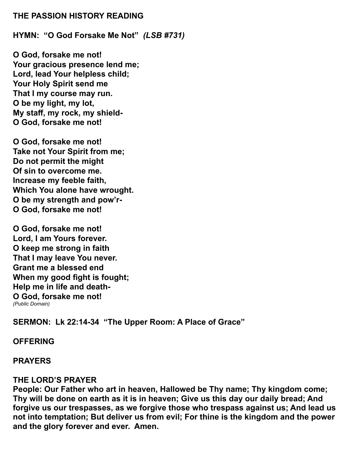#### **THE PASSION HISTORY READING**

**HYMN: "O God Forsake Me Not"** *(LSB #731)*

**O God, forsake me not! Your gracious presence lend me; Lord, lead Your helpless child; Your Holy Spirit send me That I my course may run. O be my light, my lot, My staff, my rock, my shield-O God, forsake me not!**

**O God, forsake me not! Take not Your Spirit from me; Do not permit the might Of sin to overcome me. Increase my feeble faith, Which You alone have wrought. O be my strength and pow'r-O God, forsake me not!**

**O God, forsake me not! Lord, I am Yours forever. O keep me strong in faith That I may leave You never. Grant me a blessed end When my good fight is fought; Help me in life and death-O God, forsake me not!** *(Public Domain)*

**SERMON: Lk 22:14-34 "The Upper Room: A Place of Grace"**

#### **OFFERING**

#### **PRAYERS**

#### **THE LORD'S PRAYER**

**People: Our Father who art in heaven, Hallowed be Thy name; Thy kingdom come; Thy will be done on earth as it is in heaven; Give us this day our daily bread; And forgive us our trespasses, as we forgive those who trespass against us; And lead us not into temptation; But deliver us from evil; For thine is the kingdom and the power and the glory forever and ever. Amen.**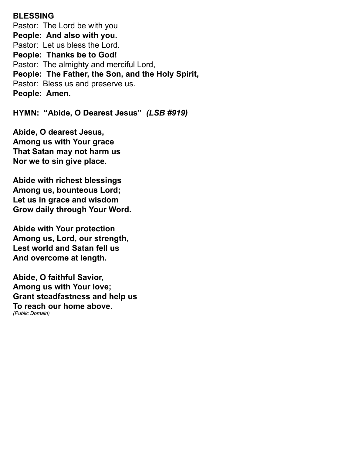## **BLESSING**

Pastor: The Lord be with you **People: And also with you.** Pastor: Let us bless the Lord. **People: Thanks be to God!** Pastor: The almighty and merciful Lord, **People: The Father, the Son, and the Holy Spirit,** Pastor: Bless us and preserve us. **People: Amen.** 

**HYMN: "Abide, O Dearest Jesus"** *(LSB #919)*

**Abide, O dearest Jesus, Among us with Your grace That Satan may not harm us Nor we to sin give place.**

**Abide with richest blessings Among us, bounteous Lord; Let us in grace and wisdom Grow daily through Your Word.**

**Abide with Your protection Among us, Lord, our strength, Lest world and Satan fell us And overcome at length.**

**Abide, O faithful Savior, Among us with Your love; Grant steadfastness and help us To reach our home above.**  *(Public Domain)*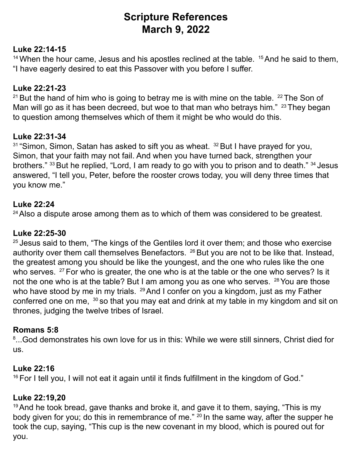## **Scripture References March 9, 2022**

## **Luke 22:14-15**

<sup>14</sup> When the hour came, Jesus and his apostles reclined at the table. <sup>15</sup> And he said to them, "I have eagerly desired to eat this Passover with you before I suffer.

## **Luke 22:21-23**

<sup>21</sup> But the hand of him who is going to betray me is with mine on the table. <sup>22</sup> The Son of Man will go as it has been decreed, but woe to that man who betrays him." <sup>23</sup> They began to question among themselves which of them it might be who would do this.

## **Luke 22:31-34**

 $31$  "Simon, Simon, Satan has asked to sift you as wheat.  $32$  But I have prayed for you, Simon, that your faith may not fail. And when you have turned back, strengthen your brothers." 33 But he replied, "Lord, I am ready to go with you to prison and to death." 34 Jesus answered, "I tell you, Peter, before the rooster crows today, you will deny three times that you know me."

### **Luke 22:24**

 $24$  Also a dispute arose among them as to which of them was considered to be greatest.

### **Luke 22:25-30**

 $25$  Jesus said to them, "The kings of the Gentiles lord it over them; and those who exercise authority over them call themselves Benefactors. <sup>26</sup> But you are not to be like that. Instead, the greatest among you should be like the youngest, and the one who rules like the one who serves. <sup>27</sup> For who is greater, the one who is at the table or the one who serves? Is it not the one who is at the table? But I am among you as one who serves. <sup>28</sup> You are those who have stood by me in my trials. <sup>29</sup> And I confer on you a kingdom, just as my Father conferred one on me, <sup>30</sup> so that you may eat and drink at my table in my kingdom and sit on thrones, judging the twelve tribes of Israel.

### **Romans 5:8**

 $^{\rm 8}$ ...God demonstrates his own love for us in this: While we were still sinners, Christ died for us.

### **Luke 22:16**

<sup>16</sup> For I tell you, I will not eat it again until it finds fulfillment in the kingdom of God."

#### **Luke 22:19,20**

 $19$  And he took bread, gave thanks and broke it, and gave it to them, saying, "This is my body given for you; do this in remembrance of me." <sup>20</sup> In the same way, after the supper he took the cup, saying, "This cup is the new covenant in my blood, which is poured out for you.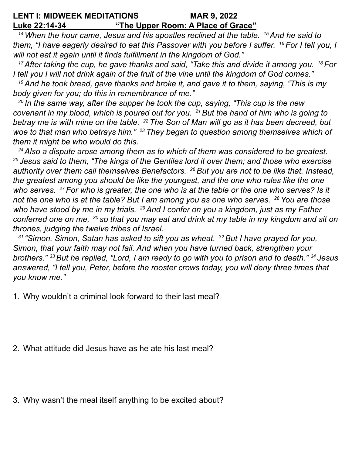#### **LENT I: MIDWEEK MEDITATIONS MAR 9, 2022 Luke 22:14-34 "The Upper Room: A Place of Grace"**

*14 When the hour came, Jesus and his apostles reclined at the table. 15 And he said to them, "I have eagerly desired to eat this Passover with you before I suffer. 16 For I tell you, I will not eat it again until it finds fulfillment in the kingdom of God."* 

*<sup>17</sup>After taking the cup, he gave thanks and said, "Take this and divide it among you. 18 For I tell you I will not drink again of the fruit of the vine until the kingdom of God comes."* 

*<sup>19</sup>And he took bread, gave thanks and broke it, and gave it to them, saying, "This is my body given for you; do this in remembrance of me."* 

*<sup>20</sup>In the same way, after the supper he took the cup, saying, "This cup is the new covenant in my blood, which is poured out for you. 21 But the hand of him who is going to betray me is with mine on the table. 22 The Son of Man will go as it has been decreed, but woe to that man who betrays him." <sup>23</sup>They began to question among themselves which of them it might be who would do this.* 

*24 Also a dispute arose among them as to which of them was considered to be greatest. <sup>25</sup>Jesus said to them, "The kings of the Gentiles lord it over them; and those who exercise authority over them call themselves Benefactors. 26 But you are not to be like that. Instead, the greatest among you should be like the youngest, and the one who rules like the one who serves. 27 For who is greater, the one who is at the table or the one who serves? Is it not the one who is at the table? But I am among you as one who serves. 28 You are those who have stood by me in my trials. 29 And I confer on you a kingdom, just as my Father conferred one on me, 30 so that you may eat and drink at my table in my kingdom and sit on thrones, judging the twelve tribes of Israel.* 

*<sup>31</sup>"Simon, Simon, Satan has asked to sift you as wheat. 32 But I have prayed for you, Simon, that your faith may not fail. And when you have turned back, strengthen your brothers." <sup>33</sup>But he replied, "Lord, I am ready to go with you to prison and to death." 34 Jesus answered, "I tell you, Peter, before the rooster crows today, you will deny three times that you know me."* 

1. Why wouldn't a criminal look forward to their last meal?

- 2. What attitude did Jesus have as he ate his last meal?
- 3. Why wasn't the meal itself anything to be excited about?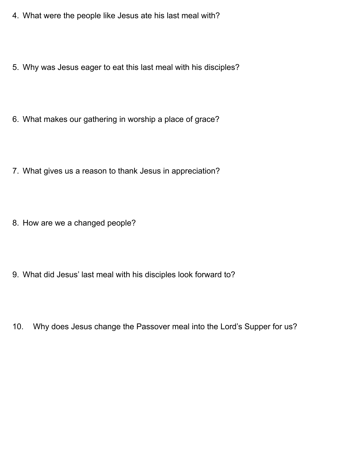- 4. What were the people like Jesus ate his last meal with?
- 5. Why was Jesus eager to eat this last meal with his disciples?
- 6. What makes our gathering in worship a place of grace?
- 7. What gives us a reason to thank Jesus in appreciation?
- 8. How are we a changed people?
- 9. What did Jesus' last meal with his disciples look forward to?
- 10. Why does Jesus change the Passover meal into the Lord's Supper for us?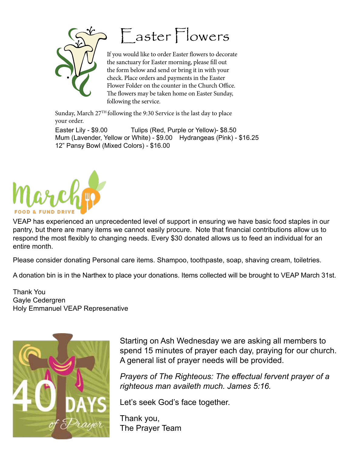



If you would like to order Easter flowers to decorate the sanctuary for Easter morning, please fill out the form below and send or bring it in with your check. Place orders and payments in the Easter Flower Folder on the counter in the Church Office. The flowers may be taken home on Easter Sunday, following the service.

Sunday, March  $27<sup>TH</sup>$  following the 9:30 Service is the last day to place your order. Mum (Lavender, Yellow or White) - \$9.00 Hydrangeas (Pink) - \$16.25 Easter Lily - \$9.00 Tulips (Red, Purple or Yellow)- \$8.50 12" Pansy Bowl (Mixed Colors) - \$16.00

 $\mathcal{L}_\text{max}$  (Red)  $\mathcal{L}_\text{max}$  (Red)  $\mathcal{L}_\text{max}$ 



VEAP has experienced an unprecedented level of support in ensuring we have basic food staples in our version of the staple of staples in our version of the staple of the staple of the staple of the staple of the state of t pantry, but there are many items we cannot easily procure. Note that financial contributions allow us to respond the most flexibly to changing needs. Every \$30 donated allows us to feed an individual for an<br>entire month entire month.  $\frac{1}{2}$  Pansy Bowl (Mixed Colors)  $\frac{1}{2}$ 

Please consider donating Personal care items. Shampoo, toothpaste, soap, shaving cream, toiletries.<br>'  $S$  .  $S$  and  $S$  ,  $S$  and  $S$  and  $S$  and  $S$  and  $S$  and  $S$  and  $S$  and  $S$  and  $S$  and  $S$  and  $S$  and  $S$  and  $S$  and  $S$  and  $S$  and  $S$  and  $S$  and  $S$  and  $S$  and  $S$  and  $S$  and  $S$  and  $S$  and  $S$  and  $S$  and

A donation bin is in the Narthex to place your donations. Items collected will be brought to VEAP March 31st.

Thank You Gayle Cedergren Holy Emmanuel VEAP Represenative



Starting on Ash Wednesday we are asking all members to spend 15 minutes of prayer each day, praying for our church. A general list of prayer needs will be provided.

*Prayers of The Righteous: The effectual fervent prayer of a righteous man availeth much. James 5:16.*

Let's seek God's face together.

Thank you, The Prayer Team